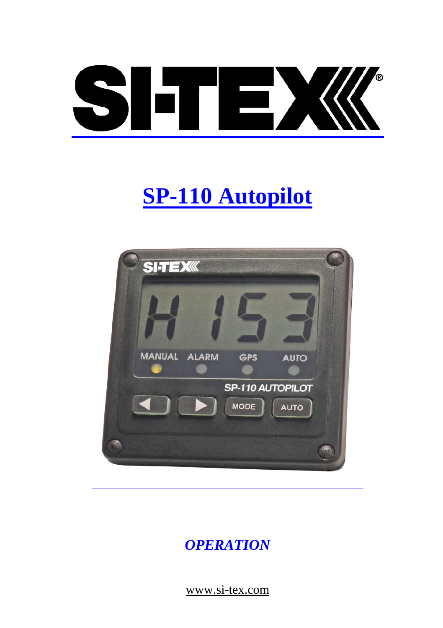

# **SP-110 Autopilot**



# *OPERATION*

www.si-tex.com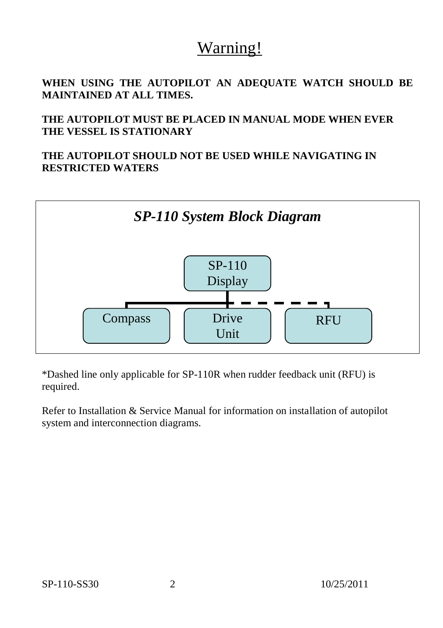# Warning!

**WHEN USING THE AUTOPILOT AN ADEQUATE WATCH SHOULD BE MAINTAINED AT ALL TIMES.**

**THE AUTOPILOT MUST BE PLACED IN MANUAL MODE WHEN EVER THE VESSEL IS STATIONARY** 

**THE AUTOPILOT SHOULD NOT BE USED WHILE NAVIGATING IN RESTRICTED WATERS**



\*Dashed line only applicable for SP-110R when rudder feedback unit (RFU) is required.

Refer to Installation & Service Manual for information on installation of autopilot system and interconnection diagrams.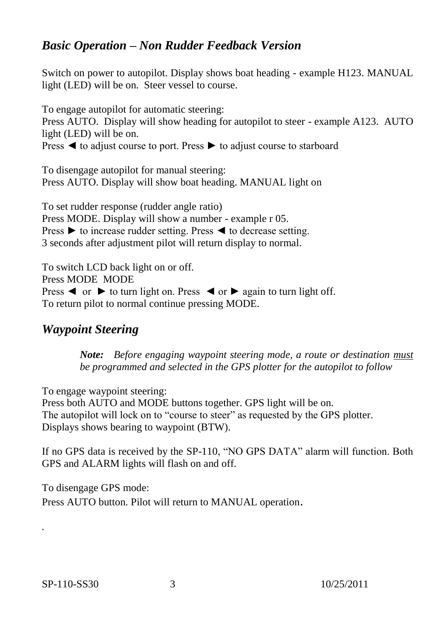#### *Basic Operation – Non Rudder Feedback Version*

Switch on power to autopilot. Display shows boat heading - example H123. MANUAL light (LED) will be on. Steer vessel to course.

To engage autopilot for automatic steering: Press AUTO. Display will show heading for autopilot to steer - example A123. AUTO light (LED) will be on. Press ◄ to adjust course to port. Press ► to adjust course to starboard

To disengage autopilot for manual steering: Press AUTO. Display will show boat heading. MANUAL light on

To set rudder response (rudder angle ratio) Press MODE. Display will show a number - example r 05. Press ► to increase rudder setting. Press ◄ to decrease setting. 3 seconds after adjustment pilot will return display to normal.

To switch LCD back light on or off. Press MODE MODE Press  $\triangleleft$  or  $\triangleright$  to turn light on. Press  $\triangleleft$  or  $\triangleright$  again to turn light off. To return pilot to normal continue pressing MODE.

#### *Waypoint Steering*

*Note: Before engaging waypoint steering mode, a route or destination must be programmed and selected in the GPS plotter for the autopilot to follow*

To engage waypoint steering:

Press both AUTO and MODE buttons together. GPS light will be on. The autopilot will lock on to "course to steer" as requested by the GPS plotter. Displays shows bearing to waypoint (BTW).

If no GPS data is received by the SP-110, "NO GPS DATA" alarm will function. Both GPS and ALARM lights will flash on and off.

To disengage GPS mode:

Press AUTO button. Pilot will return to MANUAL operation.

*.*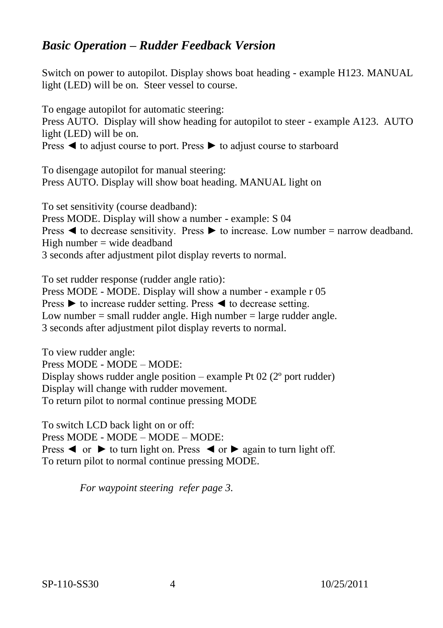#### *Basic Operation – Rudder Feedback Version*

Switch on power to autopilot. Display shows boat heading - example H123. MANUAL light (LED) will be on. Steer vessel to course.

To engage autopilot for automatic steering: Press AUTO. Display will show heading for autopilot to steer - example A123. AUTO light (LED) will be on. Press ◄ to adjust course to port. Press ► to adjust course to starboard

To disengage autopilot for manual steering: Press AUTO. Display will show boat heading. MANUAL light on

To set sensitivity (course deadband): Press MODE. Display will show a number - example: S 04 Press  $\blacktriangleleft$  to decrease sensitivity. Press  $\blacktriangleright$  to increase. Low number = narrow deadband. High number  $=$  wide deadband 3 seconds after adjustment pilot display reverts to normal.

To set rudder response (rudder angle ratio): Press MODE - MODE. Display will show a number - example r 05 Press ► to increase rudder setting. Press ◄ to decrease setting. Low number  $=$  small rudder angle. High number  $=$  large rudder angle. 3 seconds after adjustment pilot display reverts to normal.

To view rudder angle: Press MODE - MODE – MODE: Display shows rudder angle position – example Pt 02 (2<sup>o</sup> port rudder) Display will change with rudder movement. To return pilot to normal continue pressing MODE

To switch LCD back light on or off: Press MODE - MODE – MODE – MODE: Press  $\triangleleft$  or  $\triangleright$  to turn light on. Press  $\triangleleft$  or  $\triangleright$  again to turn light off. To return pilot to normal continue pressing MODE.

*For waypoint steering refer page 3.*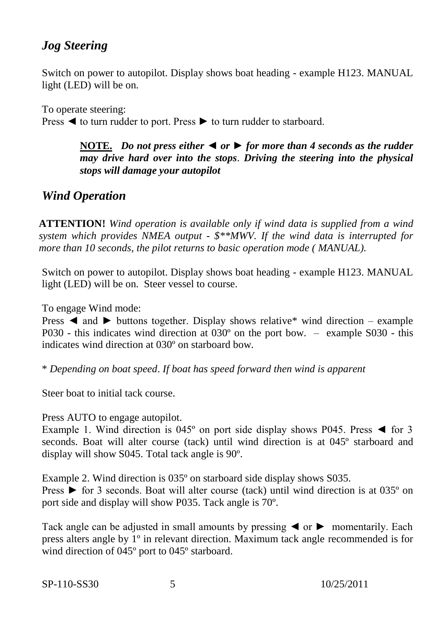## *Jog Steering*

Switch on power to autopilot. Display shows boat heading - example H123. MANUAL light (LED) will be on.

To operate steering: Press ◄ to turn rudder to port. Press ► to turn rudder to starboard.

> **NOTE.** *Do not press either* ◄ *or* ► *for more than 4 seconds as the rudder may drive hard over into the stops*. *Driving the steering into the physical stops will damage your autopilot*

### *Wind Operation*

**ATTENTION!** *Wind operation is available only if wind data is supplied from a wind system which provides NMEA output - \$\*\*MWV. If the wind data is interrupted for more than 10 seconds, the pilot returns to basic operation mode ( MANUAL).*

Switch on power to autopilot. Display shows boat heading - example H123. MANUAL light (LED) will be on. Steer vessel to course.

To engage Wind mode:

Press  $\blacktriangleleft$  and  $\blacktriangleright$  buttons together. Display shows relative\* wind direction – example P030 - this indicates wind direction at 030º on the port bow. – example S030 - this indicates wind direction at 030º on starboard bow.

\* *Depending on boat speed*. *If boat has speed forward then wind is apparent*

Steer boat to initial tack course.

Press AUTO to engage autopilot.

Example 1. Wind direction is  $045^\circ$  on port side display shows P045. Press  $\blacktriangleleft$  for 3 seconds. Boat will alter course (tack) until wind direction is at 045º starboard and display will show S045. Total tack angle is 90º.

Example 2. Wind direction is 035º on starboard side display shows S035.

Press ► for 3 seconds. Boat will alter course (tack) until wind direction is at 035º on port side and display will show P035. Tack angle is 70º.

Tack angle can be adjusted in small amounts by pressing  $\triangleleft$  or  $\triangleright$  momentarily. Each press alters angle by 1º in relevant direction. Maximum tack angle recommended is for wind direction of 045º port to 045º starboard.

SP-110-SS30 5 10/25/2011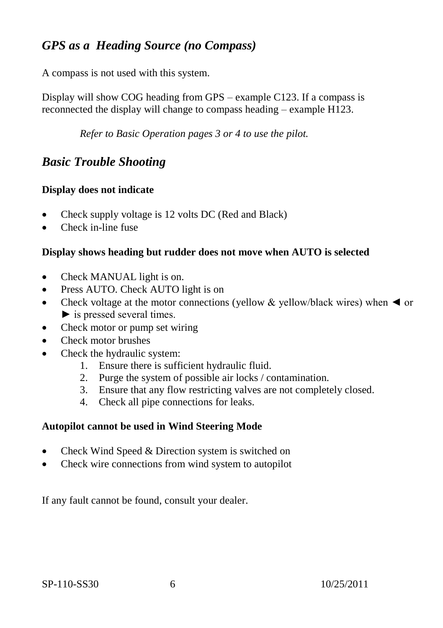## *GPS as a Heading Source (no Compass)*

A compass is not used with this system.

Display will show COG heading from GPS – example C123. If a compass is reconnected the display will change to compass heading – example H123.

*Refer to Basic Operation pages 3 or 4 to use the pilot.* 

#### *Basic Trouble Shooting*

#### **Display does not indicate**

- Check supply voltage is 12 volts DC (Red and Black)
- Check in-line fuse

#### **Display shows heading but rudder does not move when AUTO is selected**

- Check MANUAL light is on.
- Press AUTO. Check AUTO light is on
- Check voltage at the motor connections (yellow & yellow/black wires) when  $\blacktriangleleft$  or  $\blacktriangleright$  is pressed several times.
- Check motor or pump set wiring
- Check motor brushes
- Check the hydraulic system:
	- 1. Ensure there is sufficient hydraulic fluid.
	- 2. Purge the system of possible air locks / contamination.
	- 3. Ensure that any flow restricting valves are not completely closed.
	- 4. Check all pipe connections for leaks.

#### **Autopilot cannot be used in Wind Steering Mode**

- Check Wind Speed & Direction system is switched on
- Check wire connections from wind system to autopilot

If any fault cannot be found, consult your dealer.